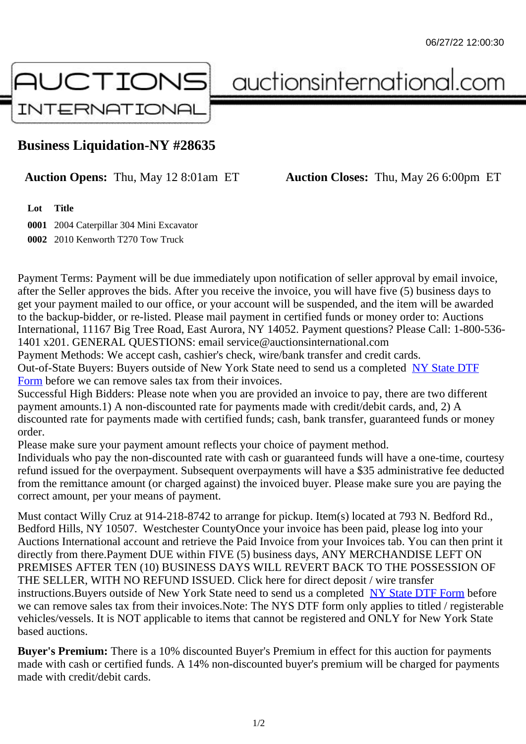## Business Liquidation-NY #28635

## Auction Opens: Thu, May 12 8:01am ET Auction Closes: Thu, May 26 6:00pm ET

Lot Title

0001 2004 Caterpillar 304 Mini Excavator 0002 2010 Kenworth T270 Tow Truck

Payment Terms: Payment will be due immediately upon notification of seller approval by email invoice, after the Seller approves the bids. After you receive the invoice, you will have five (5) business days to get your payment mailed to our office, or your account will be suspended, and the item will be awarded to the backup-bidder, or re-listed. Please mail payment in certified funds or money order to: Auctions International, 11167 Big Tree Road, East Aurora, NY 14052. Payment questions? Please Call: 1-800-53 1401 x201. GENERAL QUESTIONS: email service@auctionsinternational.com

Payment Methods: We accept cash, cashier's check, wire/bank transfer and credit cards. Out-of-State Buyers: Buyers outside of New York State need to send us a com blestate DTF Form before we can remove sales tax from their invoices.

Successful High Bidders: Please note when you are provided an invoice to pay, there are two different payment amounts.1) A non-discounted rate for payments made with credit/de[bit cards, and](https://www.auctionsinternational.com/auxiliary/downloads/DTF_Form/dtf_fill_in.pdf), 2) A [disco](https://www.auctionsinternational.com/auxiliary/downloads/DTF_Form/dtf_fill_in.pdf)unted rate for payments made with certified funds; cash, bank transfer, guaranteed funds or mone order.

Please make sure your payment amount reflects your choice of payment method.

Individuals who pay the non-discounted rate with cash or quaranteed funds will have a one-time, courte refund issued for the overpayment. Subsequent overpayments will have a \$35 administrative fee deduc from the remittance amount (or charged against) the invoiced buyer. Please make sure you are paying correct amount, per your means of payment.

Must contact Willy Cruz at 914-218-8742 to arrange for pickup. Item(s) located at 793 N. Bedford Rd., Bedford Hills, NY 10507. Westchester CountyOnce your invoice has been paid, please log into your Auctions International account and retrieve the Paid Invoice from your Invoices tab. You can then print it directly from there.Payment DUE within FIVE (5) business days, ANY MERCHANDISE LEFT ON PREMISES AFTER TEN (10) BUSINESS DAYS WILL REVERT BACK TO THE POSSESSION OF THE SELLER, WITH NO REFUND ISSUED. Click here for direct deposit / wire transfer instructions. Buyers outside of New York State need to send us a combletedate DTF Form before we can remove sales tax from their invoices.Note: The NYS DTF form only applies to titled / registerabl vehicles/vessels. It is NOT applicable to items that cannot be registered and ONLY for New York State based auctions.

Buyer's Premium: There is a 10% discounted Buyer's Premium in effect for this auction for payments made with cash or certified funds. A 14% non-discounted buyer's premium will be charged for payments made with credit/debit cards.